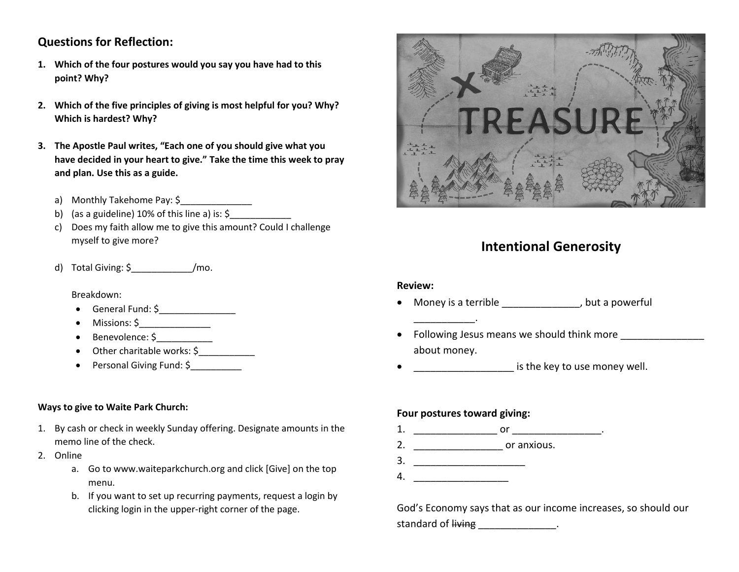## **Questions for Reflection:**

- **1. Which of the four postures would you say you have had to this point? Why?**
- **2. Which of the five principles of giving is most helpful for you? Why? Which is hardest? Why?**
- **3. The Apostle Paul writes, "Each one of you should give what you have decided in your heart to give." Take the time this week to pray and plan. Use this as a guide.**
	- a) Monthly Takehome Pay: \$
	- b) (as a guideline)  $10\%$  of this line a) is:  $\zeta$
	- c) Does my faith allow me to give this amount? Could I challenge myself to give more?
	- d) Total Giving: \$\_\_\_\_\_\_\_\_\_\_\_\_/mo.

Breakdown:

- General Fund: \$
- $\bullet$  Missions:  $\zeta$  \_\_\_\_\_\_\_\_\_\_\_\_
- Benevolence: \$\_\_\_\_\_\_\_\_\_\_\_
- Other charitable works: \$
- Personal Giving Fund: \$

#### **Ways to give to Waite Park Church:**

- 1. By cash or check in weekly Sunday offering. Designate amounts in the memo line of the check.
- 2. Online
	- a. Go to www.waiteparkchurch.org and click [Give] on the top menu.
	- b. If you want to set up recurring payments, request a login by clicking login in the upper-right corner of the page.



# **Intentional Generosity**

#### **Review:**

- Money is a terrible \_\_\_\_\_\_\_\_\_\_\_\_\_, but a powerful
- Following Jesus means we should think more about money.
- **endown is the key to use money well.**

#### **Four postures toward giving:**

\_\_\_\_\_\_\_\_\_\_\_.

- 1. \_\_\_\_\_\_\_\_\_\_\_\_\_\_\_ or \_\_\_\_\_\_\_\_\_\_\_\_\_\_\_\_.
- 2. \_\_\_\_\_\_\_\_\_\_\_\_\_\_\_\_\_\_\_\_\_\_\_\_ or anxious.
- 3. \_\_\_\_\_\_\_\_\_\_\_\_\_\_\_\_\_\_\_\_
- 4. \_\_\_\_\_\_\_\_\_\_\_\_\_\_\_\_\_

God's Economy says that as our income increases, so should our standard of living the control of  $\frac{1}{2}$ .